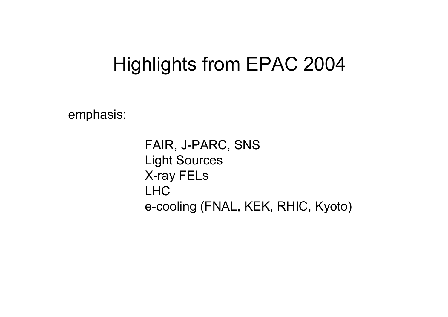## Highlights from EPAC 2004

emphasis:

FAIR, J-PARC, SNS Light Sources X-ray FELs LHCe-cooling (FNAL, KEK, RHIC, Kyoto)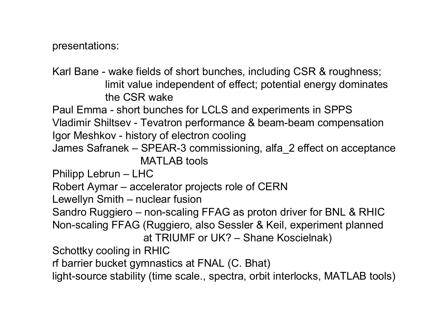presentations:

Karl Bane - wake fields of short bunches, including CSR & roughness; limit value independent of effect; potential energy dominates the CSR wake

Paul Emma - short bunches for LCLS and experiments in SPPS Vladimir Shiltsev - Tevatron performance & beam-beam compensation

Igor Meshkov - history of electron cooling

James Safranek – SPEAR-3 commissioning, alfa\_2 effect on acceptance MATLAB tools

Philipp Lebrun – LHC

```
Robert Aymar – accelerator projects role of CERN
```

```
Lewellyn Smith – nuclear fusion
```
Sandro Ruggiero – non-scaling FFAG as proton driver for BNL & RHIC Non-scaling FFAG (Ruggiero, also Sessler & Keil, experiment planned at TRIUMF or UK? – Shane Koscielnak)

Schottky cooling in RHIC

rf barrier bucket gymnastics at FNAL (C. Bhat)

light-source stability (time scale., spectra, orbit interlocks, MATLAB tools)